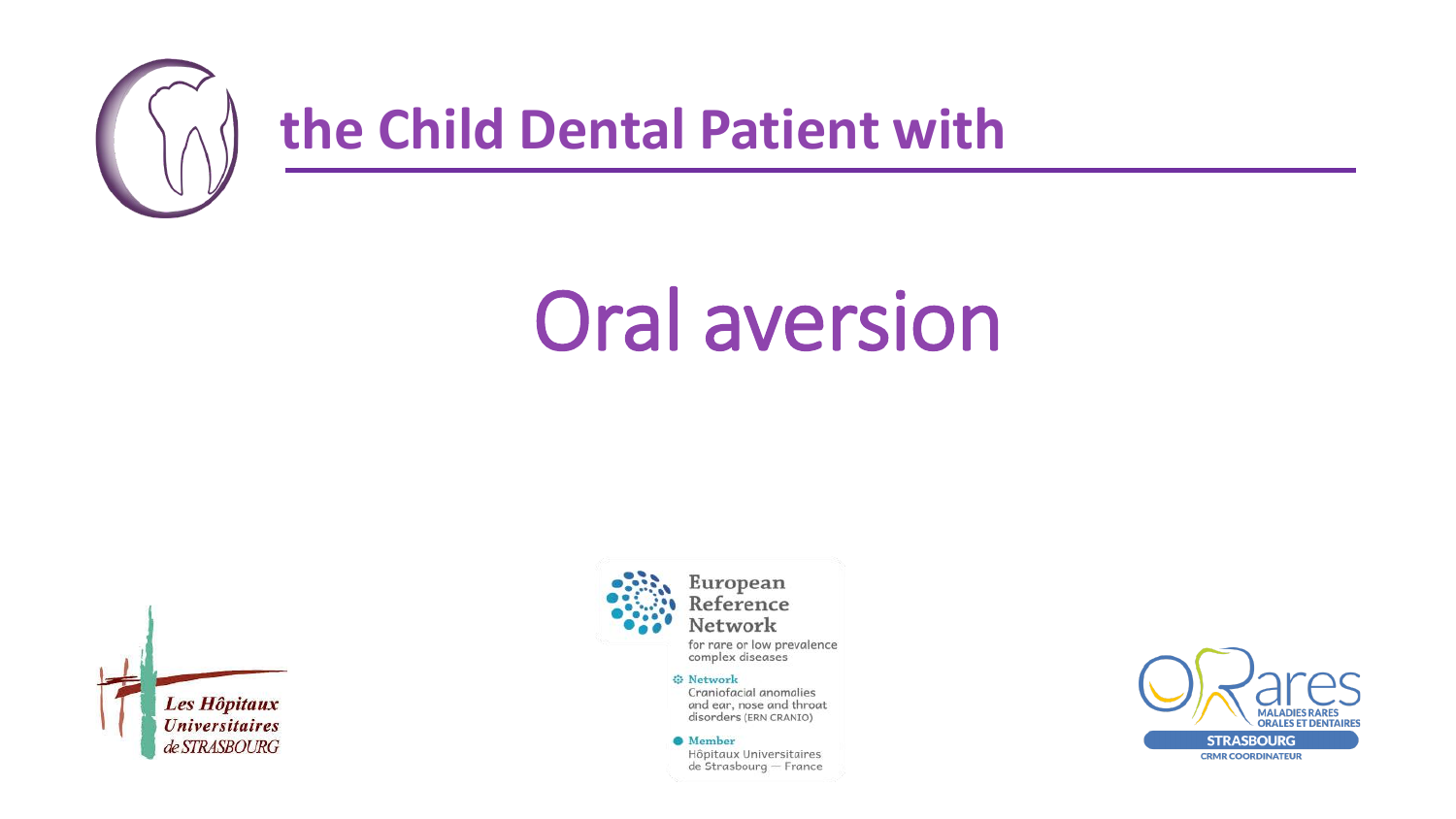

# **Oral aversion**





for rare or low prevalence complex diseases

#### **O** Network

Craniofacial anomalies and ear, nose and throat disorders (ERN CRANIO)

<sup>6</sup>Member

Hôpitaux Universitaires de Strasbourg - France

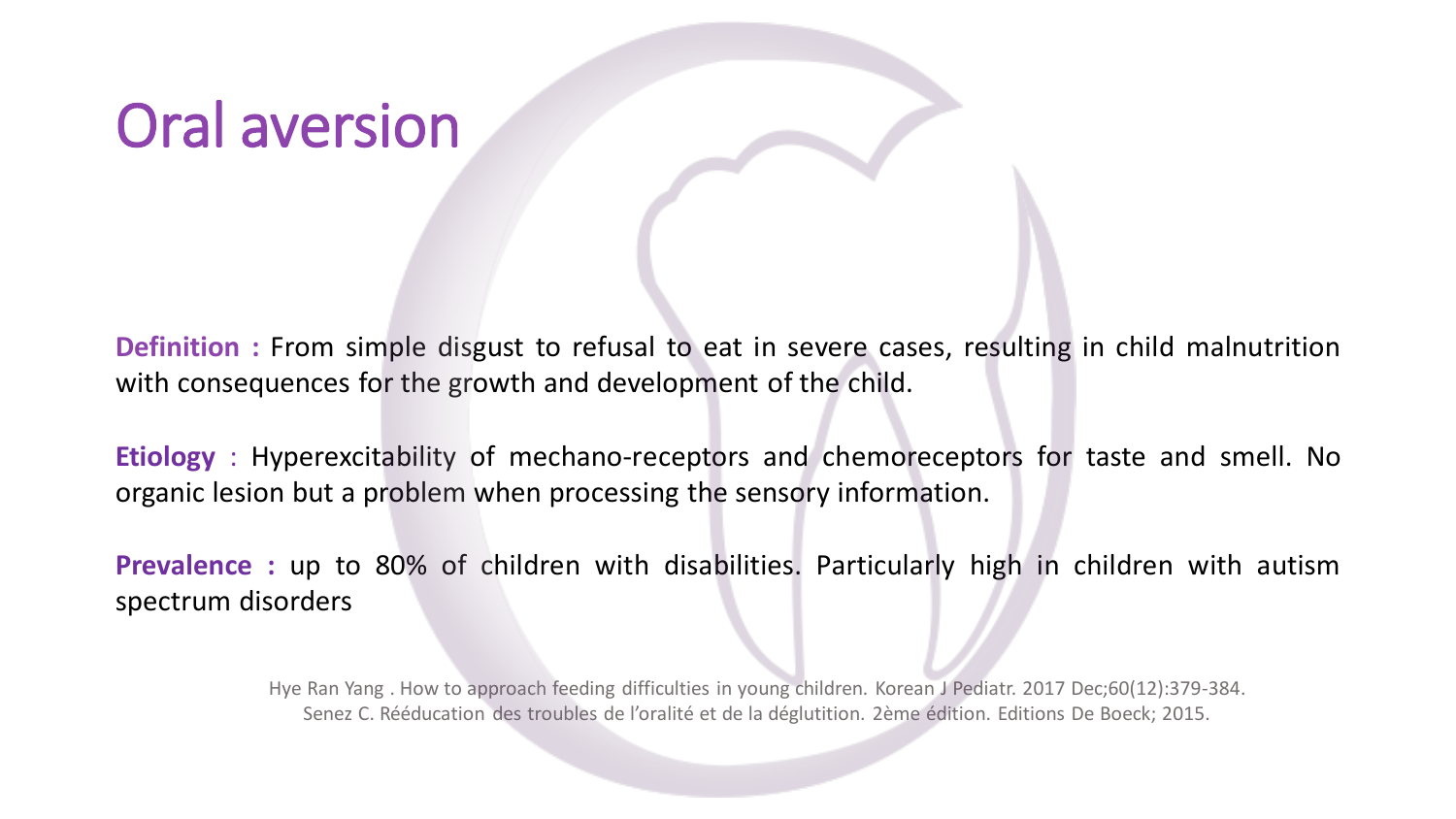## Oral aversion

**Definition :** From simple disgust to refusal to eat in severe cases, resulting in child malnutrition with consequences for the growth and development of the child.

**Etiology** : Hyperexcitability of mechano-receptors and chemoreceptors for taste and smell. No organic lesion but a problem when processing the sensory information.

**Prevalence :** up to 80% of children with disabilities. Particularly high in children with autism spectrum disorders

> Hye Ran Yang . How to approach feeding difficulties in young children. Korean J Pediatr. 2017 Dec;60(12):379-384. Senez C. Rééducation des troubles de l'oralité et de la déglutition. 2ème édition. Editions De Boeck; 2015.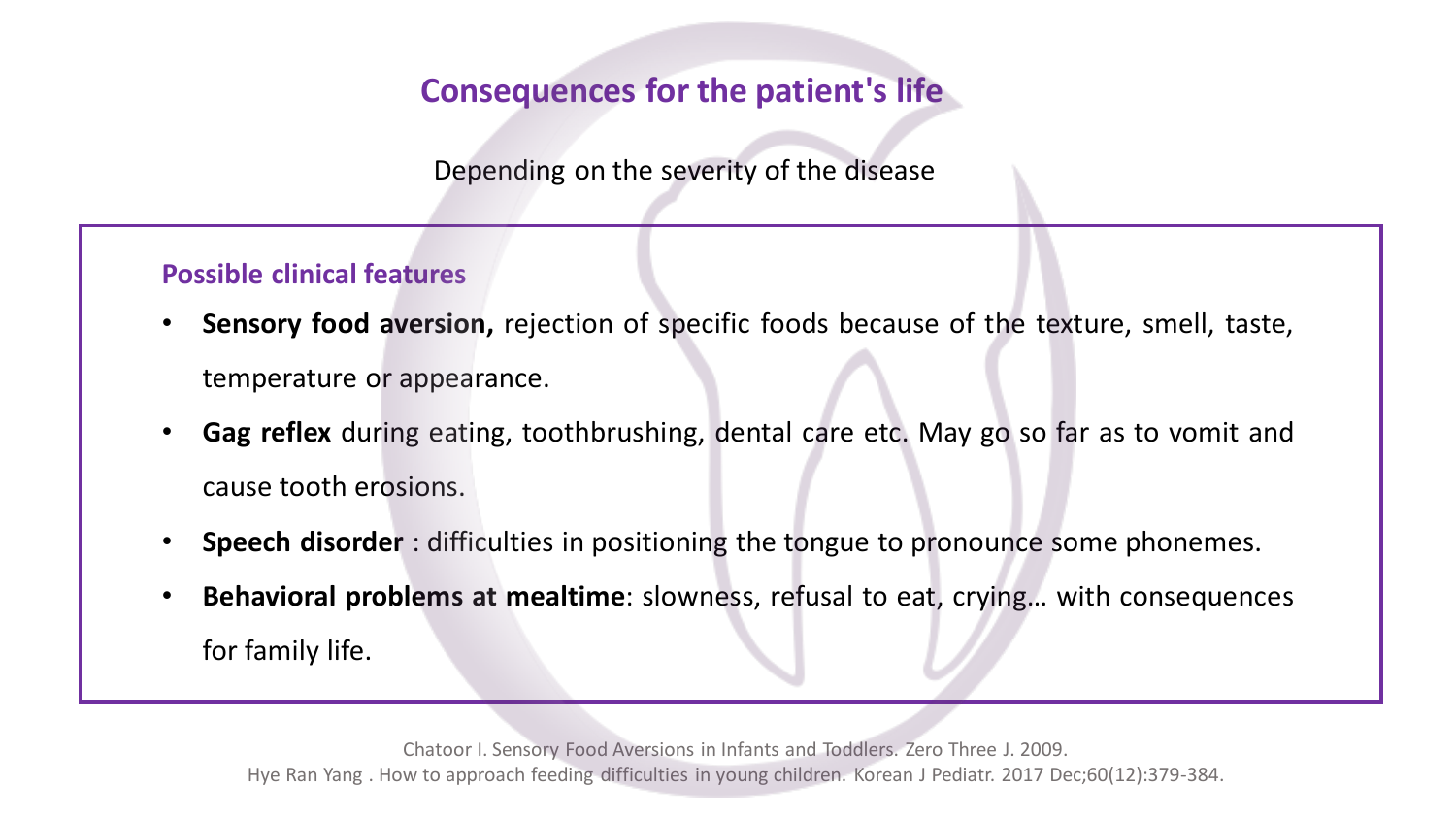#### **Consequences for the patient's life**

Depending on the severity of the disease

#### **Possible clinical features**

- **Sensory food aversion,** rejection of specific foods because of the texture, smell, taste, temperature or appearance.
- **Gag reflex** during eating, toothbrushing, dental care etc. May go so far as to vomit and cause tooth erosions.
- **Speech disorder** : difficulties in positioning the tongue to pronounce some phonemes.
- **Behavioral problems at mealtime**: slowness, refusal to eat, crying… with consequences for family life.

Chatoor I. Sensory Food Aversions in Infants and Toddlers. Zero Three J. 2009. Hye Ran Yang . How to approach feeding difficulties in young children. Korean J Pediatr. 2017 Dec;60(12):379-384.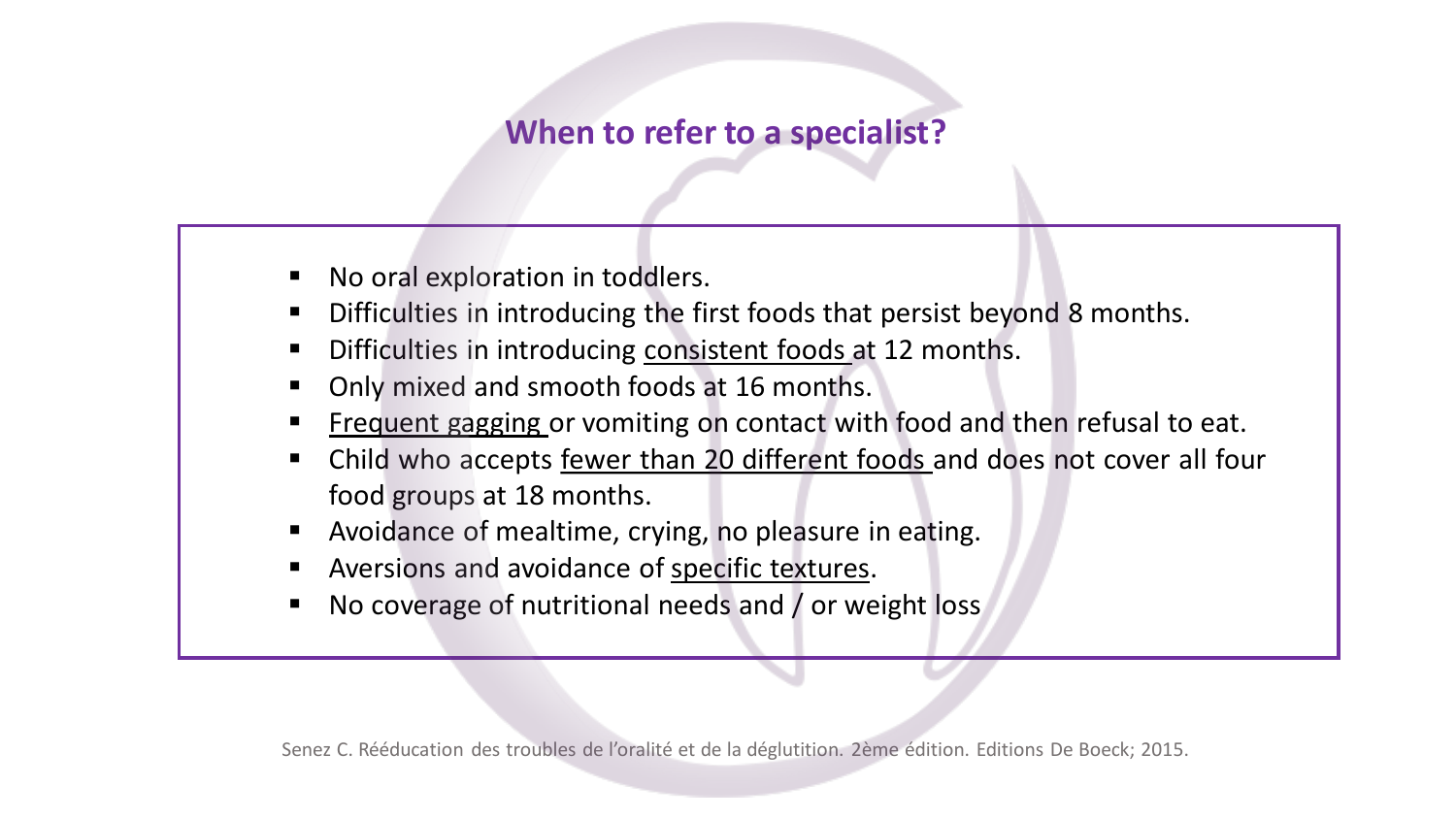#### **When to refer to a specialist?**

- No oral exploration in toddlers.
- Difficulties in introducing the first foods that persist beyond 8 months.
- Difficulties in introducing consistent foods at 12 months.
- Only mixed and smooth foods at 16 months.
- E requent gagging or vomiting on contact with food and then refusal to eat.
- Child who accepts fewer than 20 different foods and does not cover all four food groups at 18 months.
- Avoidance of mealtime, crying, no pleasure in eating.
- Aversions and avoidance of specific textures.
- No coverage of nutritional needs and / or weight loss

Senez C. Rééducation des troubles de l'oralité et de la déglutition. 2ème édition. Editions De Boeck; 2015.